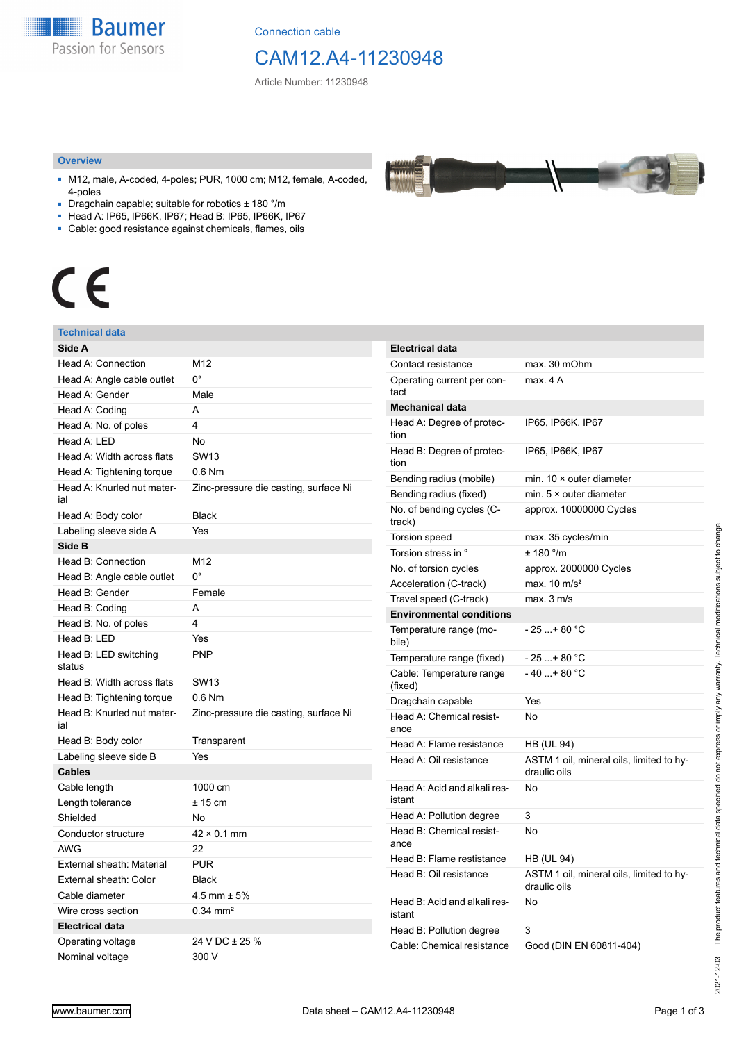

Connection cable

# CAM12.A4-11230948

بمعمعد

Article Number: 11230948

#### **Overview**

- M12, male, A-coded, 4-poles; PUR, 1000 cm; M12, female, A-coded, 4-poles
- Dragchain capable; suitable for robotics ± 180 °/m
- Head A: IP65, IP66K, IP67; Head B: IP65, IP66K, IP67
- Cable: good resistance against chemicals, flames, oils

# $\epsilon$

#### **Technical data**

| Side A                            |                                       |
|-----------------------------------|---------------------------------------|
| Head A: Connection                | M <sub>12</sub>                       |
| Head A: Angle cable outlet        | О°                                    |
| Head A: Gender                    | Male                                  |
| Head A: Coding                    | A                                     |
| Head A: No. of poles              | 4                                     |
| Head A: LED                       | No                                    |
| Head A: Width across flats        | <b>SW13</b>                           |
| Head A: Tightening torque         | $0.6$ Nm                              |
| Head A: Knurled nut mater-<br>ial | Zinc-pressure die casting, surface Ni |
| Head A: Body color                | <b>Black</b>                          |
| Labeling sleeve side A            | Yes                                   |
| Side B                            |                                       |
| Head B: Connection                | M12                                   |
| Head B: Angle cable outlet        | 0°                                    |
| Head B: Gender                    | Female                                |
| Head B: Coding                    | A                                     |
| Head B: No. of poles              | 4                                     |
| Head B: LED                       | Yes                                   |
| Head B: LED switching<br>status   | <b>PNP</b>                            |
| Head B: Width across flats        | <b>SW13</b>                           |
| Head B: Tightening torque         | $0.6$ Nm                              |
| Head B: Knurled nut mater-<br>ial | Zinc-pressure die casting, surface Ni |
| Head B: Body color                | Transparent                           |
| Labeling sleeve side B            | Yes                                   |
| <b>Cables</b>                     |                                       |
| Cable length                      | 1000 cm                               |
| Length tolerance                  | $± 15$ cm                             |
| Shielded                          | No                                    |
| Conductor structure               | $42 \times 0.1$ mm                    |
| <b>AWG</b>                        | 22                                    |
| External sheath: Material         | <b>PUR</b>                            |
| External sheath: Color            | Black                                 |
| Cable diameter                    | 4.5 mm $\pm$ 5%                       |
| Wire cross section                | $0.34 \text{ mm}^2$                   |
| <b>Electrical data</b>            |                                       |
| Operating voltage                 | 24 V DC ± 25 %                        |
| Nominal voltage                   | 300 V                                 |

| <b>Electrical data</b>                 |                                                          |
|----------------------------------------|----------------------------------------------------------|
| Contact resistance                     | max. 30 mOhm                                             |
| Operating current per con-<br>tact     | max. 4 A                                                 |
| <b>Mechanical data</b>                 |                                                          |
| Head A: Degree of protec-<br>tion      | IP65, IP66K, IP67                                        |
| Head B: Degree of protec-<br>tion      | IP65, IP66K, IP67                                        |
| Bending radius (mobile)                | min. $10 \times$ outer diameter                          |
| Bending radius (fixed)                 | min. $5 \times$ outer diameter                           |
| No. of bending cycles (C-<br>track)    | approx. 10000000 Cycles                                  |
| <b>Torsion speed</b>                   | max. 35 cycles/min                                       |
| Torsion stress in °                    | ± 180 °/m                                                |
| No. of torsion cycles                  | approx. 2000000 Cycles                                   |
| Acceleration (C-track)                 | max. $10 \text{ m/s}^2$                                  |
| Travel speed (C-track)                 | max. 3 m/s                                               |
| <b>Environmental conditions</b>        |                                                          |
| Temperature range (mo-<br>bile)        | - 25 + 80 °C                                             |
| Temperature range (fixed)              | $-25+80 °C$                                              |
| Cable: Temperature range<br>(fixed)    | $-40+80 °C$                                              |
| Dragchain capable                      | Yes                                                      |
| Head A: Chemical resist-<br>ance       | No                                                       |
| Head A: Flame resistance               | HB (UL 94)                                               |
| Head A: Oil resistance                 | ASTM 1 oil, mineral oils, limited to hy-<br>draulic oils |
| Head A: Acid and alkali res-<br>istant | <b>No</b>                                                |
| Head A: Pollution degree               | 3                                                        |
| Head B: Chemical resist-<br>ance       | No                                                       |
| Head B: Flame restistance              | <b>HB (UL 94)</b>                                        |
| Head B: Oil resistance                 | ASTM 1 oil, mineral oils, limited to hy-<br>draulic oils |
| Head B: Acid and alkali res-<br>istant | <b>No</b>                                                |
| Head B: Pollution degree               | 3                                                        |
| Cable: Chemical resistance             | Good (DIN EN 60811-404)                                  |

2021-12-03

2021-12-03 The product features and technical data specified do not express or imply any warranty. Technical modifications subject to change.

The product features and technical data specified do not express or imply any warranty. Technical modifications subject to change.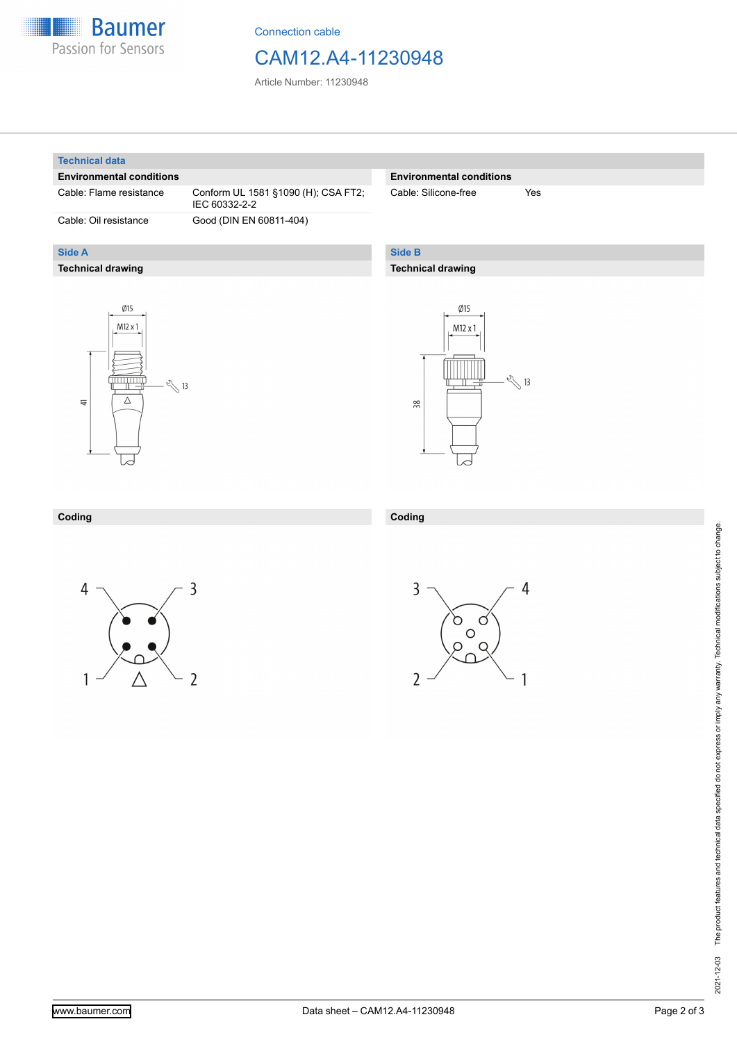

Connection cable

### CAM12.A4-11230948

Article Number: 11230948

#### **Technical data**

**Side A**

#### **Environmental conditions**

**Technical drawing**

Cable: Flame resistance Conform UL 1581 §1090 (H); CSA FT2; IEC 60332-2-2 Cable: Oil resistance Good (DIN EN 60811-404)

#### **Environmental conditions**

Cable: Silicone-free Yes

#### **Side B**

**Coding**

#### **Technical drawing**





#### **Coding**